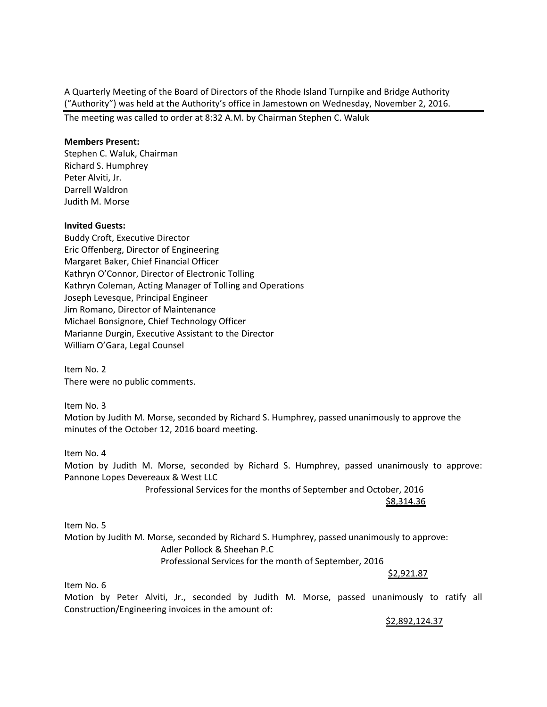A Quarterly Meeting of the Board of Directors of the Rhode Island Turnpike and Bridge Authority ("Authority") was held at the Authority's office in Jamestown on Wednesday, November 2, 2016.

The meeting was called to order at 8:32 A.M. by Chairman Stephen C. Waluk

## **Members Present:**

Stephen C. Waluk, Chairman Richard S. Humphrey Peter Alviti, Jr. Darrell Waldron Judith M. Morse

#### **Invited Guests:**

Buddy Croft, Executive Director Eric Offenberg, Director of Engineering Margaret Baker, Chief Financial Officer Kathryn O'Connor, Director of Electronic Tolling Kathryn Coleman, Acting Manager of Tolling and Operations Joseph Levesque, Principal Engineer Jim Romano, Director of Maintenance Michael Bonsignore, Chief Technology Officer Marianne Durgin, Executive Assistant to the Director William O'Gara, Legal Counsel

Item No. 2 There were no public comments.

Item No. 3 Motion by Judith M. Morse, seconded by Richard S. Humphrey, passed unanimously to approve the minutes of the October 12, 2016 board meeting.

Item No. 4

Motion by Judith M. Morse, seconded by Richard S. Humphrey, passed unanimously to approve: Pannone Lopes Devereaux & West LLC

 Professional Services for the months of September and October, 2016  $\frac{\text{S8,314.36}}{2}$ 

Item No. 5 Motion by Judith M. Morse, seconded by Richard S. Humphrey, passed unanimously to approve: Adler Pollock & Sheehan P.C Professional Services for the month of September, 2016 \$2,921.87

Item No. 6

Motion by Peter Alviti, Jr., seconded by Judith M. Morse, passed unanimously to ratify all Construction/Engineering invoices in the amount of:

\$2,892,124.37